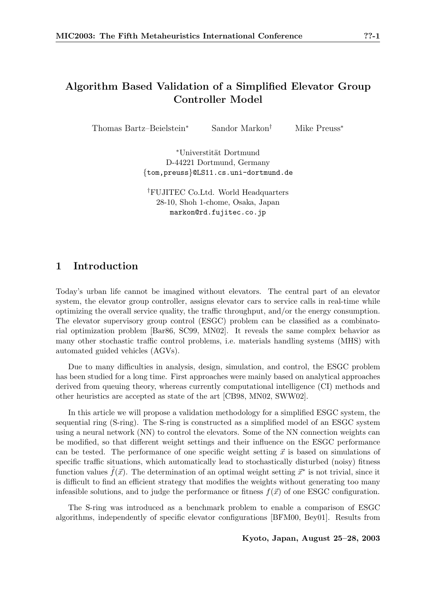# Algorithm Based Validation of a Simplified Elevator Group Controller Model

Thomas Bartz–Beielstein<sup>∗</sup> Sandor Markon<sup>†</sup> Mike Preuss<sup>∗</sup>

<sup>∗</sup>Universtit¨at Dortmund D-44221 Dortmund, Germany {tom,preuss}@LS11.cs.uni-dortmund.de

†FUJITEC Co.Ltd. World Headquarters 28-10, Shoh 1-chome, Osaka, Japan markon@rd.fujitec.co.jp

## 1 Introduction

Today's urban life cannot be imagined without elevators. The central part of an elevator system, the elevator group controller, assigns elevator cars to service calls in real-time while optimizing the overall service quality, the traffic throughput, and/or the energy consumption. The elevator supervisory group control (ESGC) problem can be classified as a combinatorial optimization problem [Bar86, SC99, MN02]. It reveals the same complex behavior as many other stochastic traffic control problems, i.e. materials handling systems (MHS) with automated guided vehicles (AGVs).

Due to many difficulties in analysis, design, simulation, and control, the ESGC problem has been studied for a long time. First approaches were mainly based on analytical approaches derived from queuing theory, whereas currently computational intelligence (CI) methods and other heuristics are accepted as state of the art [CB98, MN02, SWW02].

In this article we will propose a validation methodology for a simplified ESGC system, the sequential ring (S-ring). The S-ring is constructed as a simplified model of an ESGC system using a neural network (NN) to control the elevators. Some of the NN connection weights can be modified, so that different weight settings and their influence on the ESGC performance can be tested. The performance of one specific weight setting  $\vec{x}$  is based on simulations of specific traffic situations, which automatically lead to stochastically disturbed (noisy) fitness function values  $\tilde{f}(\vec{x})$ . The determination of an optimal weight setting  $\vec{x}^*$  is not trivial, since it is difficult to find an efficient strategy that modifies the weights without generating too many infeasible solutions, and to judge the performance or fitness  $f(\vec{x})$  of one ESGC configuration.

The S-ring was introduced as a benchmark problem to enable a comparison of ESGC algorithms, independently of specific elevator configurations [BFM00, Bey01]. Results from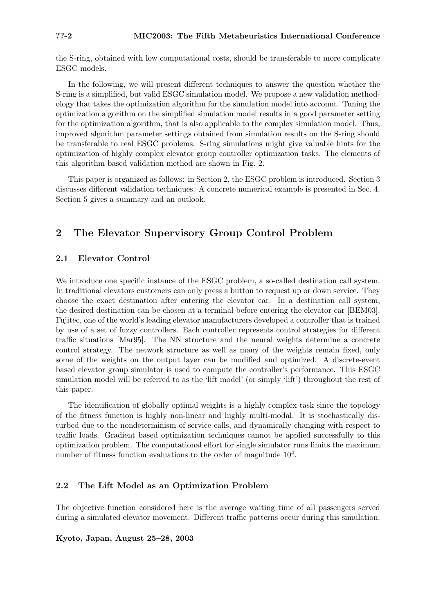the S-ring, obtained with low computational costs, should be transferable to more complicate ESGC models.

In the following, we will present different techniques to answer the question whether the S-ring is a simplified, but valid ESGC simulation model. We propose a new validation methodology that takes the optimization algorithm for the simulation model into account. Tuning the optimization algorithm on the simplified simulation model results in a good parameter setting for the optimization algorithm, that is also applicable to the complex simulation model. Thus, improved algorithm parameter settings obtained from simulation results on the S-ring should be transferable to real ESGC problems. S-ring simulations might give valuable hints for the optimization of highly complex elevator group controller optimization tasks. The elements of this algorithm based validation method are shown in Fig. 2.

This paper is organized as follows: in Section 2, the ESGC problem is introduced. Section 3 discusses different validation techniques. A concrete numerical example is presented in Sec. 4. Section 5 gives a summary and an outlook.

## 2 The Elevator Supervisory Group Control Problem

### 2.1 Elevator Control

We introduce one specific instance of the ESGC problem, a so-called destination call system. In traditional elevators customers can only press a button to request up or down service. They choose the exact destination after entering the elevator car. In a destination call system, the desired destination can be chosen at a terminal before entering the elevator car [BEM03]. Fujitec, one of the world's leading elevator manufacturers developed a controller that is trained by use of a set of fuzzy controllers. Each controller represents control strategies for different traffic situations [Mar95]. The NN structure and the neural weights determine a concrete control strategy. The network structure as well as many of the weights remain fixed, only some of the weights on the output layer can be modified and optimized. A discrete-event based elevator group simulator is used to compute the controller's performance. This ESGC simulation model will be referred to as the 'lift model' (or simply 'lift') throughout the rest of this paper.

The identification of globally optimal weights is a highly complex task since the topology of the fitness function is highly non-linear and highly multi-modal. It is stochastically disturbed due to the nondeterminism of service calls, and dynamically changing with respect to traffic loads. Gradient based optimization techniques cannot be applied successfully to this optimization problem. The computational effort for single simulator runs limits the maximum number of fitness function evaluations to the order of magnitude  $10^4$ .

### 2.2 The Lift Model as an Optimization Problem

The objective function considered here is the average waiting time of all passengers served during a simulated elevator movement. Different traffic patterns occur during this simulation: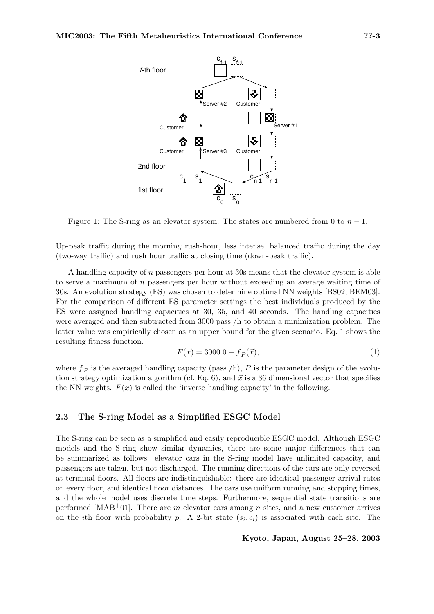

Figure 1: The S-ring as an elevator system. The states are numbered from 0 to  $n-1$ .

Up-peak traffic during the morning rush-hour, less intense, balanced traffic during the day (two-way traffic) and rush hour traffic at closing time (down-peak traffic).

A handling capacity of n passengers per hour at 30s means that the elevator system is able to serve a maximum of  $n$  passengers per hour without exceeding an average waiting time of 30s. An evolution strategy (ES) was chosen to determine optimal NN weights [BS02, BEM03]. For the comparison of different ES parameter settings the best individuals produced by the ES were assigned handling capacities at 30, 35, and 40 seconds. The handling capacities were averaged and then subtracted from 3000 pass./h to obtain a minimization problem. The latter value was empirically chosen as an upper bound for the given scenario. Eq. 1 shows the resulting fitness function.

$$
F(x) = 3000.0 - \overline{f}_P(\vec{x}),
$$
\n(1)

where  $\overline{f}_P$  is the averaged handling capacity (pass./h), P is the parameter design of the evolution strategy optimization algorithm (cf. Eq. 6), and  $\vec{x}$  is a 36 dimensional vector that specifies the NN weights.  $F(x)$  is called the 'inverse handling capacity' in the following.

#### 2.3 The S-ring Model as a Simplified ESGC Model

The S-ring can be seen as a simplified and easily reproducible ESGC model. Although ESGC models and the S-ring show similar dynamics, there are some major differences that can be summarized as follows: elevator cars in the S-ring model have unlimited capacity, and passengers are taken, but not discharged. The running directions of the cars are only reversed at terminal floors. All floors are indistinguishable: there are identical passenger arrival rates on every floor, and identical floor distances. The cars use uniform running and stopping times, and the whole model uses discrete time steps. Furthermore, sequential state transitions are performed [MAB<sup>+</sup>01]. There are m elevator cars among n sites, and a new customer arrives on the *i*th floor with probability p. A 2-bit state  $(s_i, c_i)$  is associated with each site. The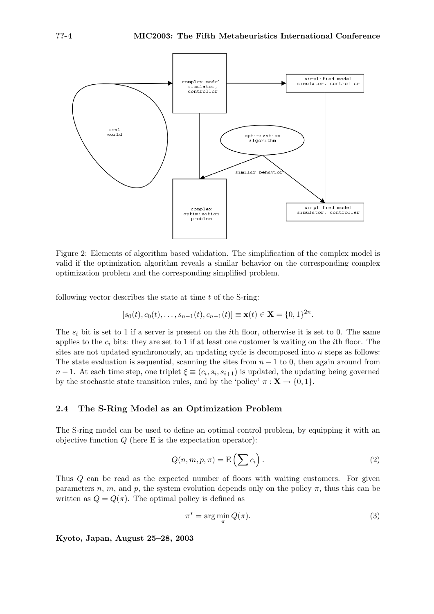

Figure 2: Elements of algorithm based validation. The simplification of the complex model is valid if the optimization algorithm reveals a similar behavior on the corresponding complex optimization problem and the corresponding simplified problem.

following vector describes the state at time  $t$  of the S-ring:

$$
[s_0(t), c_0(t), \dots, s_{n-1}(t), c_{n-1}(t)] \equiv \mathbf{x}(t) \in \mathbf{X} = \{0, 1\}^{2n}.
$$

The  $s_i$  bit is set to 1 if a server is present on the *i*th floor, otherwise it is set to 0. The same applies to the  $c_i$  bits: they are set to 1 if at least one customer is waiting on the *i*th floor. The sites are not updated synchronously, an updating cycle is decomposed into n steps as follows: The state evaluation is sequential, scanning the sites from  $n - 1$  to 0, then again around from  $n-1$ . At each time step, one triplet  $\xi \equiv (c_i, s_i, s_{i+1})$  is updated, the updating being governed by the stochastic state transition rules, and by the 'policy'  $\pi : \mathbf{X} \to \{0, 1\}.$ 

### 2.4 The S-Ring Model as an Optimization Problem

The S-ring model can be used to define an optimal control problem, by equipping it with an objective function  $Q$  (here E is the expectation operator):

$$
Q(n, m, p, \pi) = \mathcal{E}\left(\sum c_i\right). \tag{2}
$$

Thus Q can be read as the expected number of floors with waiting customers. For given parameters n, m, and p, the system evolution depends only on the policy  $\pi$ , thus this can be written as  $Q = Q(\pi)$ . The optimal policy is defined as

$$
\pi^* = \arg\min_{\pi} Q(\pi). \tag{3}
$$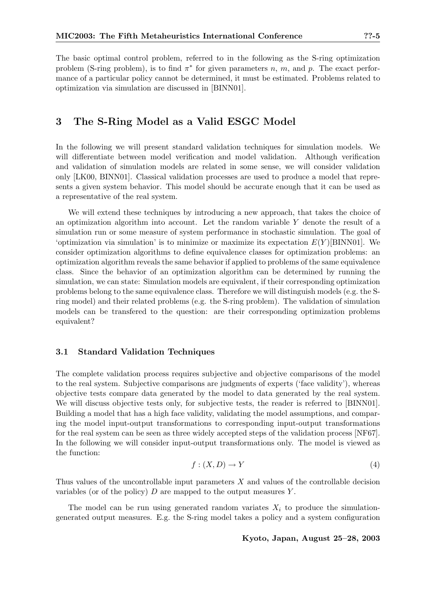The basic optimal control problem, referred to in the following as the S-ring optimization problem (S-ring problem), is to find  $\pi^*$  for given parameters n, m, and p. The exact performance of a particular policy cannot be determined, it must be estimated. Problems related to optimization via simulation are discussed in [BINN01].

## 3 The S-Ring Model as a Valid ESGC Model

In the following we will present standard validation techniques for simulation models. We will differentiate between model verification and model validation. Although verification and validation of simulation models are related in some sense, we will consider validation only [LK00, BINN01]. Classical validation processes are used to produce a model that represents a given system behavior. This model should be accurate enough that it can be used as a representative of the real system.

We will extend these techniques by introducing a new approach, that takes the choice of an optimization algorithm into account. Let the random variable Y denote the result of a simulation run or some measure of system performance in stochastic simulation. The goal of 'optimization via simulation' is to minimize or maximize its expectation  $E(Y)[\text{BINN01}]$ . We consider optimization algorithms to define equivalence classes for optimization problems: an optimization algorithm reveals the same behavior if applied to problems of the same equivalence class. Since the behavior of an optimization algorithm can be determined by running the simulation, we can state: Simulation models are equivalent, if their corresponding optimization problems belong to the same equivalence class. Therefore we will distinguish models (e.g. the Sring model) and their related problems (e.g. the S-ring problem). The validation of simulation models can be transfered to the question: are their corresponding optimization problems equivalent?

#### 3.1 Standard Validation Techniques

The complete validation process requires subjective and objective comparisons of the model to the real system. Subjective comparisons are judgments of experts ('face validity'), whereas objective tests compare data generated by the model to data generated by the real system. We will discuss objective tests only, for subjective tests, the reader is referred to [BINN01]. Building a model that has a high face validity, validating the model assumptions, and comparing the model input-output transformations to corresponding input-output transformations for the real system can be seen as three widely accepted steps of the validation process [NF67]. In the following we will consider input-output transformations only. The model is viewed as the function:

$$
f: (X, D) \to Y \tag{4}
$$

Thus values of the uncontrollable input parameters  $X$  and values of the controllable decision variables (or of the policy)  $D$  are mapped to the output measures  $Y$ .

The model can be run using generated random variates  $X_i$  to produce the simulationgenerated output measures. E.g. the S-ring model takes a policy and a system configuration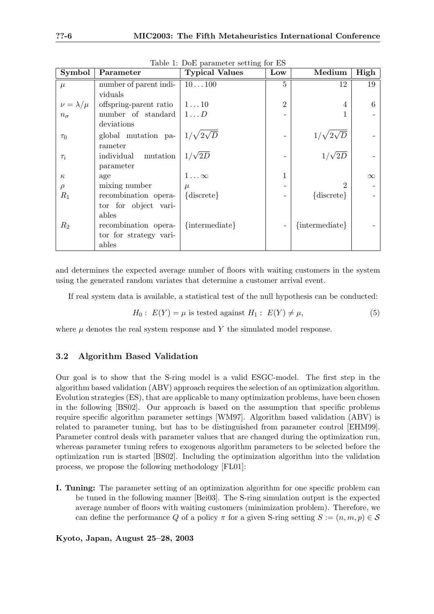| Symbol              | Parameter              | <b>Typical Values</b> | Low            | Medium               | High     |
|---------------------|------------------------|-----------------------|----------------|----------------------|----------|
| $\mu$               | number of parent indi- | 10100                 | $\overline{5}$ | 12                   | 19       |
|                     | viduals                |                       |                |                      |          |
| $\nu = \lambda/\mu$ | offspring-parent ratio | $1 \ldots 10$         | $\overline{2}$ | 4                    | 6        |
| $n_{\sigma}$        | number of standard     | $1 \ldots D$          |                | 1                    |          |
|                     | deviations             |                       |                |                      |          |
| $\tau_0$            | global mutation pa-    | $1/\sqrt{2\sqrt{D}}$  |                | $1/\sqrt{2\sqrt{D}}$ |          |
|                     | rameter                |                       |                |                      |          |
| $\tau_i$            | individual<br>mutation | $1/\sqrt{2D}$         |                | $1/\sqrt{2D}$        |          |
|                     | parameter              |                       |                |                      |          |
| $\kappa$            | age                    | $1\ldots\infty$       |                |                      | $\infty$ |
| $\rho$              | mixing number          | $\mu$                 |                | $\overline{2}$       |          |
| $R_1$               | recombination opera-   | $\{discrete\}$        |                | ${\text{discrete}}$  |          |
|                     | tor for object vari-   |                       |                |                      |          |
|                     | ables                  |                       |                |                      |          |
| $R_2$               | recombination opera-   | {intermediate}        |                | $\{intermediate\}$   |          |
|                     | tor for strategy vari- |                       |                |                      |          |
|                     | ables                  |                       |                |                      |          |

Table 1: DoE parameter setting for ES

and determines the expected average number of floors with waiting customers in the system using the generated random variates that determine a customer arrival event.

If real system data is available, a statistical test of the null hypothesis can be conducted:

$$
H_0: E(Y) = \mu \text{ is tested against } H_1: E(Y) \neq \mu,
$$
\n
$$
(5)
$$

where  $\mu$  denotes the real system response and Y the simulated model response.

#### 3.2 Algorithm Based Validation

Our goal is to show that the S-ring model is a valid ESGC-model. The first step in the algorithm based validation (ABV) approach requires the selection of an optimization algorithm. Evolution strategies (ES), that are applicable to many optimization problems, have been chosen in the following [BS02]. Our approach is based on the assumption that specific problems require specific algorithm parameter settings [WM97]. Algorithm based validation (ABV) is related to parameter tuning, but has to be distinguished from parameter control [EHM99]. Parameter control deals with parameter values that are changed during the optimization run, whereas parameter tuning refers to exogenous algorithm parameters to be selected before the optimization run is started [BS02]. Including the optimization algorithm into the validation process, we propose the following methodology [FL01]:

I. Tuning: The parameter setting of an optimization algorithm for one specific problem can be tuned in the following manner [Bei03]. The S-ring simulation output is the expected average number of floors with waiting customers (minimization problem). Therefore, we can define the performance Q of a policy  $\pi$  for a given S-ring setting  $S := (n, m, p) \in \mathcal{S}$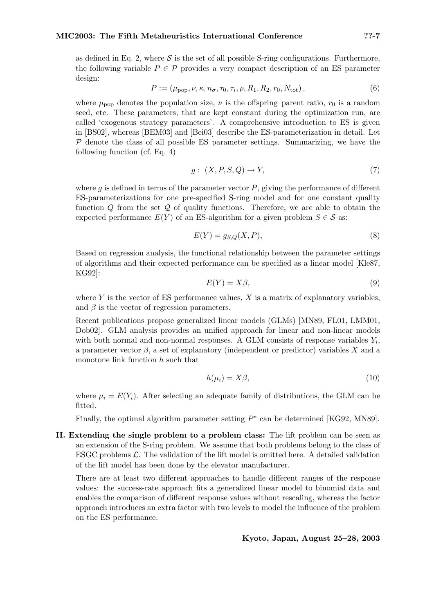as defined in Eq. 2, where  $S$  is the set of all possible S-ring configurations. Furthermore, the following variable  $P \in \mathcal{P}$  provides a very compact description of an ES parameter design:

$$
P := (\mu_{\text{pop}}, \nu, \kappa, n_{\sigma}, \tau_0, \tau_i, \rho, R_1, R_2, r_0, N_{\text{tot}}),
$$
\n(6)

where  $\mu_{\text{pop}}$  denotes the population size,  $\nu$  is the offspring–parent ratio,  $r_0$  is a random seed, etc. These parameters, that are kept constant during the optimization run, are called 'exogenous strategy parameters'. A comprehensive introduction to ES is given in [BS02], whereas [BEM03] and [Bei03] describe the ES-parameterization in detail. Let  $P$  denote the class of all possible ES parameter settings. Summarizing, we have the following function (cf. Eq. 4)

$$
g: (X, P, S, Q) \to Y,\tag{7}
$$

where g is defined in terms of the parameter vector  $P$ , giving the performance of different ES-parameterizations for one pre-specified S-ring model and for one constant quality function  $Q$  from the set  $Q$  of quality functions. Therefore, we are able to obtain the expected performance  $E(Y)$  of an ES-algorithm for a given problem  $S \in \mathcal{S}$  as:

$$
E(Y) = g_{S,Q}(X, P),\tag{8}
$$

Based on regression analysis, the functional relationship between the parameter settings of algorithms and their expected performance can be specified as a linear model [Kle87, KG92]:

$$
E(Y) = X\beta,\tag{9}
$$

where Y is the vector of ES performance values,  $X$  is a matrix of explanatory variables, and  $\beta$  is the vector of regression parameters.

Recent publications propose generalized linear models (GLMs) [MN89, FL01, LMM01, Dob02]. GLM analysis provides an unified approach for linear and non-linear models with both normal and non-normal responses. A GLM consists of response variables  $Y_i$ , a parameter vector  $\beta$ , a set of explanatory (independent or predictor) variables X and a monotone link function h such that

$$
h(\mu_i) = X\beta,\tag{10}
$$

where  $\mu_i = E(Y_i)$ . After selecting an adequate family of distributions, the GLM can be fitted.

Finally, the optimal algorithm parameter setting  $P^*$  can be determined [KG92, MN89].

II. Extending the single problem to a problem class: The lift problem can be seen as an extension of the S-ring problem. We assume that both problems belong to the class of ESGC problems  $\mathcal{L}$ . The validation of the lift model is omitted here. A detailed validation of the lift model has been done by the elevator manufacturer.

There are at least two different approaches to handle different ranges of the response values: the success-rate approach fits a generalized linear model to binomial data and enables the comparison of different response values without rescaling, whereas the factor approach introduces an extra factor with two levels to model the influence of the problem on the ES performance.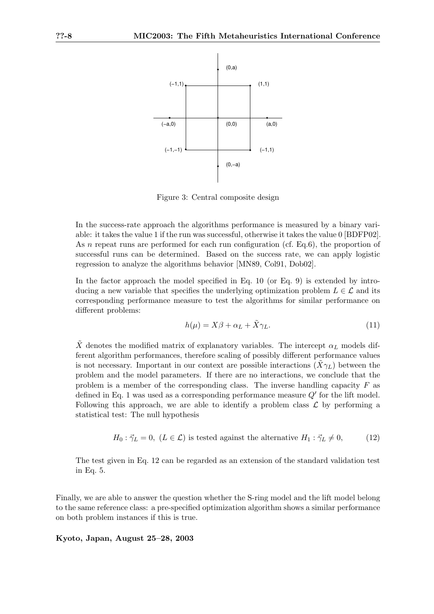

Figure 3: Central composite design

In the success-rate approach the algorithms performance is measured by a binary variable: it takes the value 1 if the run was successful, otherwise it takes the value 0 [BDFP02]. As *n* repeat runs are performed for each run configuration (cf. Eq.6), the proportion of successful runs can be determined. Based on the success rate, we can apply logistic regression to analyze the algorithms behavior [MN89, Col91, Dob02].

In the factor approach the model specified in Eq. 10 (or Eq. 9) is extended by introducing a new variable that specifies the underlying optimization problem  $L \in \mathcal{L}$  and its corresponding performance measure to test the algorithms for similar performance on different problems:

$$
h(\mu) = X\beta + \alpha_L + \tilde{X}\gamma_L. \tag{11}
$$

X denotes the modified matrix of explanatory variables. The intercept  $\alpha_L$  models different algorithm performances, therefore scaling of possibly different performance values is not necessary. Important in our context are possible interactions  $(\tilde{X}\gamma_L)$  between the problem and the model parameters. If there are no interactions, we conclude that the problem is a member of the corresponding class. The inverse handling capacity  $F$  as defined in Eq. 1 was used as a corresponding performance measure  $Q'$  for the lift model. Following this approach, we are able to identify a problem class  $\mathcal L$  by performing a statistical test: The null hypothesis

$$
H_0: \vec{\gamma}_L = 0
$$
,  $(L \in \mathcal{L})$  is tested against the alternative  $H_1: \vec{\gamma}_L \neq 0$ , (12)

The test given in Eq. 12 can be regarded as an extension of the standard validation test in Eq. 5.

Finally, we are able to answer the question whether the S-ring model and the lift model belong to the same reference class: a pre-specified optimization algorithm shows a similar performance on both problem instances if this is true.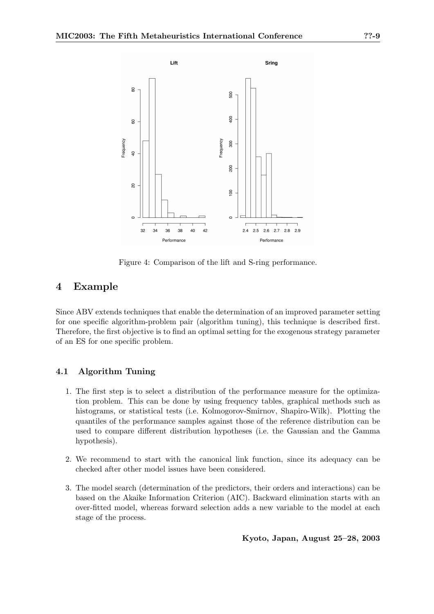

Figure 4: Comparison of the lift and S-ring performance.

## 4 Example

Since ABV extends techniques that enable the determination of an improved parameter setting for one specific algorithm-problem pair (algorithm tuning), this technique is described first. Therefore, the first objective is to find an optimal setting for the exogenous strategy parameter of an ES for one specific problem.

## 4.1 Algorithm Tuning

- 1. The first step is to select a distribution of the performance measure for the optimization problem. This can be done by using frequency tables, graphical methods such as histograms, or statistical tests (i.e. Kolmogorov-Smirnov, Shapiro-Wilk). Plotting the quantiles of the performance samples against those of the reference distribution can be used to compare different distribution hypotheses (i.e. the Gaussian and the Gamma hypothesis).
- 2. We recommend to start with the canonical link function, since its adequacy can be checked after other model issues have been considered.
- 3. The model search (determination of the predictors, their orders and interactions) can be based on the Akaike Information Criterion (AIC). Backward elimination starts with an over-fitted model, whereas forward selection adds a new variable to the model at each stage of the process.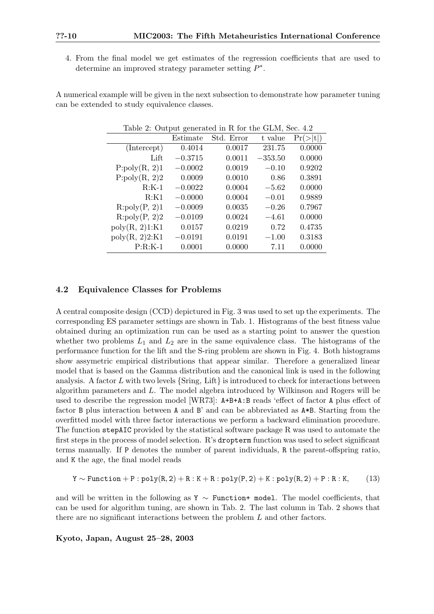4. From the final model we get estimates of the regression coefficients that are used to determine an improved strategy parameter setting  $P^*$ .

A numerical example will be given in the next subsection to demonstrate how parameter tuning can be extended to study equivalence classes.

| Table 2: Output generated in R for the GLM, Sec. 4.2 |           |            |           |          |  |  |  |
|------------------------------------------------------|-----------|------------|-----------|----------|--|--|--|
|                                                      | Estimate  | Std. Error | t value   | Pr(> t ) |  |  |  |
| (Intercept)                                          | 0.4014    | 0.0017     | 231.75    | 0.0000   |  |  |  |
| Lift                                                 | $-0.3715$ | 0.0011     | $-353.50$ | 0.0000   |  |  |  |
| P:poly(R, 2)1                                        | $-0.0002$ | 0.0019     | $-0.10$   | 0.9202   |  |  |  |
| P:poly(R, 2)2                                        | 0.0009    | 0.0010     | 0.86      | 0.3891   |  |  |  |
| $R:K-1$                                              | $-0.0022$ | 0.0004     | $-5.62$   | 0.0000   |  |  |  |
| R:K1                                                 | $-0.0000$ | 0.0004     | $-0.01$   | 0.9889   |  |  |  |
| R:poly(P, 2)1                                        | $-0.0009$ | 0.0035     | $-0.26$   | 0.7967   |  |  |  |
| R:poly(P, 2)2                                        | $-0.0109$ | 0.0024     | $-4.61$   | 0.0000   |  |  |  |
| poly(R, 2)1:K1                                       | 0.0157    | 0.0219     | 0.72      | 0.4735   |  |  |  |
| poly(R, 2)2:K1                                       | $-0.0191$ | 0.0191     | $-1.00$   | 0.3183   |  |  |  |
| $P:R:K-1$                                            | 0.0001    | 0.0000     | 7.11      | 0.0000   |  |  |  |

### 4.2 Equivalence Classes for Problems

A central composite design (CCD) depictured in Fig. 3 was used to set up the experiments. The corresponding ES parameter settings are shown in Tab. 1. Histograms of the best fitness value obtained during an optimization run can be used as a starting point to answer the question whether two problems  $L_1$  and  $L_2$  are in the same equivalence class. The histograms of the performance function for the lift and the S-ring problem are shown in Fig. 4. Both histograms show assymetric empirical distributions that appear similar. Therefore a generalized linear model that is based on the Gamma distribution and the canonical link is used in the following analysis. A factor  $L$  with two levels {Sring, Lift} is introduced to check for interactions between algorithm parameters and L. The model algebra introduced by Wilkinson and Rogers will be used to describe the regression model [WR73]: A+B+A:B reads 'effect of factor A plus effect of factor B plus interaction between A and B' and can be abbreviated as A\*B. Starting from the overfitted model with three factor interactions we perform a backward elimination procedure. The function stepAIC provided by the statistical software package R was used to automate the first steps in the process of model selection. R's dropterm function was used to select significant terms manually. If P denotes the number of parent individuals, R the parent-offspring ratio, and K the age, the final model reads

$$
Y \sim \texttt{Function} + P : \texttt{poly}(R,2) + R : K + R : \texttt{poly}(P,2) + K : \texttt{poly}(R,2) + P : R : K, \quad (13)
$$

and will be written in the following as Y  $\sim$  Function+ model. The model coefficients, that can be used for algorithm tuning, are shown in Tab. 2. The last column in Tab. 2 shows that there are no significant interactions between the problem L and other factors.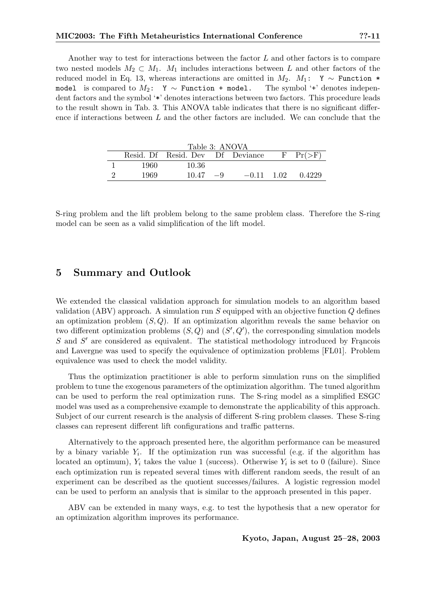Another way to test for interactions between the factor  $L$  and other factors is to compare two nested models  $M_2 \subset M_1$ .  $M_1$  includes interactions between L and other factors of the reduced model in Eq. 13, whereas interactions are omitted in  $M_2$ .  $M_1$ : Y ∼ Function \* model is compared to  $M_2$ : Y ∼ Function + model. The symbol '+' denotes independent factors and the symbol '\*' denotes interactions between two factors. This procedure leads to the result shown in Tab. 3. This ANOVA table indicates that there is no significant difference if interactions between  $L$  and the other factors are included. We can conclude that the

| Table 3: ANOVA |      |                                  |      |              |  |               |  |  |
|----------------|------|----------------------------------|------|--------------|--|---------------|--|--|
|                |      | Resid. Df Resid. Dev Df Deviance |      |              |  | $F$ $Pr(>\)F$ |  |  |
|                | 1960 | 10.36                            |      |              |  |               |  |  |
|                | 1969 | 10.47                            | $-9$ | $-0.11$ 1.02 |  | 0.4229        |  |  |

S-ring problem and the lift problem belong to the same problem class. Therefore the S-ring model can be seen as a valid simplification of the lift model.

## 5 Summary and Outlook

We extended the classical validation approach for simulation models to an algorithm based validation (ABV) approach. A simulation run  $S$  equipped with an objective function  $Q$  defines an optimization problem  $(S, Q)$ . If an optimization algorithm reveals the same behavior on two different optimization problems  $(S, Q)$  and  $(S', Q')$ , the corresponding simulation models  $S$  and  $S'$  are considered as equivalent. The statistical methodology introduced by Francois and Lavergne was used to specify the equivalence of optimization problems [FL01]. Problem equivalence was used to check the model validity.

Thus the optimization practitioner is able to perform simulation runs on the simplified problem to tune the exogenous parameters of the optimization algorithm. The tuned algorithm can be used to perform the real optimization runs. The S-ring model as a simplified ESGC model was used as a comprehensive example to demonstrate the applicability of this approach. Subject of our current research is the analysis of different S-ring problem classes. These S-ring classes can represent different lift configurations and traffic patterns.

Alternatively to the approach presented here, the algorithm performance can be measured by a binary variable  $Y_i$ . If the optimization run was successful (e.g. if the algorithm has located an optimum),  $Y_i$  takes the value 1 (success). Otherwise  $Y_i$  is set to 0 (failure). Since each optimization run is repeated several times with different random seeds, the result of an experiment can be described as the quotient successes/failures. A logistic regression model can be used to perform an analysis that is similar to the approach presented in this paper.

ABV can be extended in many ways, e.g. to test the hypothesis that a new operator for an optimization algorithm improves its performance.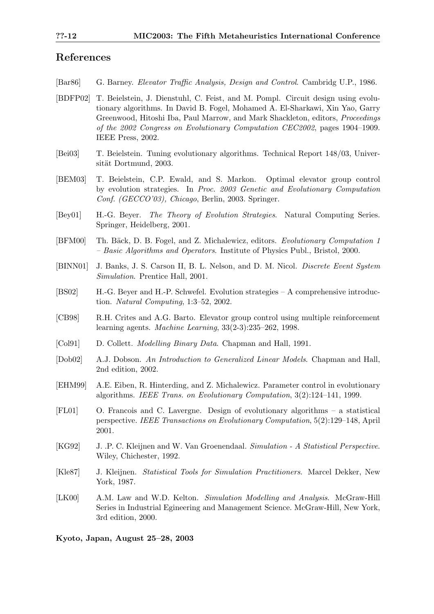## References

- [Bar86] G. Barney. Elevator Traffic Analysis, Design and Control. Cambridg U.P., 1986.
- [BDFP02] T. Beielstein, J. Dienstuhl, C. Feist, and M. Pompl. Circuit design using evolutionary algorithms. In David B. Fogel, Mohamed A. El-Sharkawi, Xin Yao, Garry Greenwood, Hitoshi Iba, Paul Marrow, and Mark Shackleton, editors, Proceedings of the 2002 Congress on Evolutionary Computation CEC2002, pages 1904–1909. IEEE Press, 2002.
- [Bei03] T. Beielstein. Tuning evolutionary algorithms. Technical Report 148/03, Universität Dortmund, 2003.
- [BEM03] T. Beielstein, C.P. Ewald, and S. Markon. Optimal elevator group control by evolution strategies. In Proc. 2003 Genetic and Evolutionary Computation Conf. (GECCO'03), Chicago, Berlin, 2003. Springer.
- [Bey01] H.-G. Beyer. The Theory of Evolution Strategies. Natural Computing Series. Springer, Heidelberg, 2001.
- [BFM00] Th. Bäck, D. B. Fogel, and Z. Michalewicz, editors. Evolutionary Computation 1 – Basic Algorithms and Operators. Institute of Physics Publ., Bristol, 2000.
- [BINN01] J. Banks, J. S. Carson II, B. L. Nelson, and D. M. Nicol. Discrete Event System Simulation. Prentice Hall, 2001.
- [BS02] H.-G. Beyer and H.-P. Schwefel. Evolution strategies A comprehensive introduction. Natural Computing, 1:3–52, 2002.
- [CB98] R.H. Crites and A.G. Barto. Elevator group control using multiple reinforcement learning agents. Machine Learning, 33(2-3):235–262, 1998.
- [Col91] D. Collett. Modelling Binary Data. Chapman and Hall, 1991.
- [Dob02] A.J. Dobson. An Introduction to Generalized Linear Models. Chapman and Hall, 2nd edition, 2002.
- [EHM99] A.E. Eiben, R. Hinterding, and Z. Michalewicz. Parameter control in evolutionary algorithms. IEEE Trans. on Evolutionary Computation, 3(2):124–141, 1999.
- [FL01] O. Francois and C. Lavergne. Design of evolutionary algorithms a statistical perspective. IEEE Transactions on Evolutionary Computation, 5(2):129–148, April 2001.
- [KG92] J. .P. C. Kleijnen and W. Van Groenendaal. Simulation A Statistical Perspective. Wiley, Chichester, 1992.
- [Kle87] J. Kleijnen. Statistical Tools for Simulation Practitioners. Marcel Dekker, New York, 1987.
- [LK00] A.M. Law and W.D. Kelton. Simulation Modelling and Analysis. McGraw-Hill Series in Industrial Egineering and Management Science. McGraw-Hill, New York, 3rd edition, 2000.